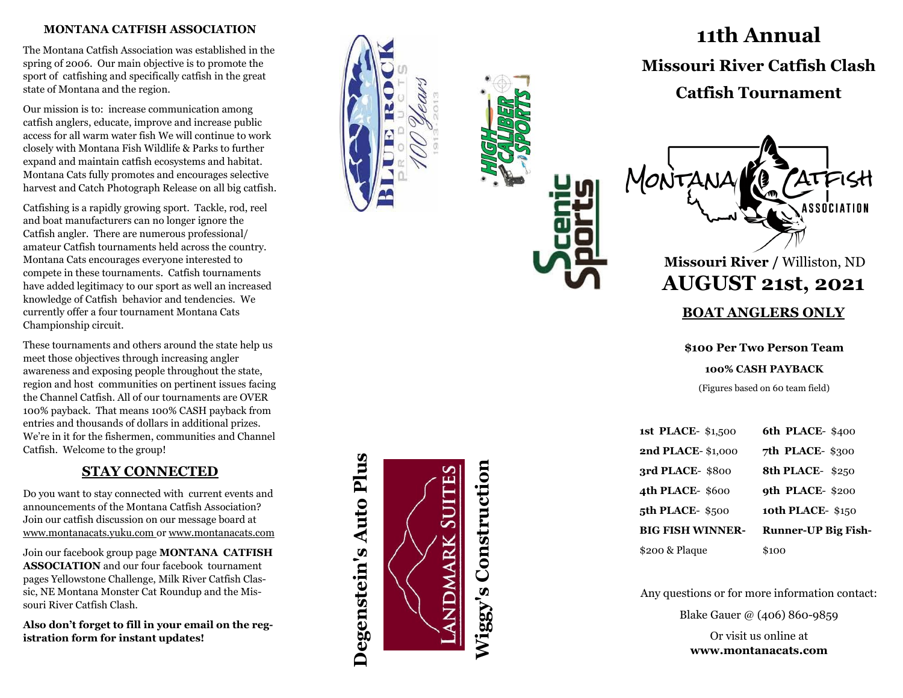### **MONTANA CATFISH ASSOCIATION**

The Montana Catfish Association was established in the spring of 2006. Our main objective is to promote the sport of catfishing and specifically catfish in the great state of Montana and the region.

Our mission is to: increase communication among catfish anglers, educate, improve and increase public access for all warm water fish We will continue to work closely with Montana Fish Wildlife & Parks to further expand and maintain catfish ecosystems and habitat. Montana Cats fully promotes and encourages selective harvest and Catch Photograph Release on all big catfish.

Catfishing is a rapidly growing sport. Tackle, rod, reel and boat manufacturers can no longer ignore the Catfish angler. There are numerous professional/ amateur Catfish tournaments held across the country. Montana Cats encourages everyone interested to compete in these tournaments. Catfish tournaments have added legitimacy to our sport as well an increased knowledge of Catfish behavior and tendencies. We currently offer a four tournament Montana Cats Championship circuit.

These tournaments and others around the state help us meet those objectives through increasing angler awareness and exposing people throughout the state, region and host communities on pertinent issues facing the Channel Catfish. All of our tournaments are OVER 100% payback. That means 100% CASH payback from entries and thousands of dollars in additional prizes. We 're in it for the fishermen, communities and Channel Catfish. Welcome to the group!

## **STAY CONNECTED**

Do you want to stay connected with current events and announcements of the Montana Catfish Association? Join our catfish discussion on our message board at www.montanacats.yuku.com or www.montanacats.com

Join our facebook group page **MONTANA CATFISH ASSOCIATION** and our four facebook tournament pages Yellowstone Challenge, Milk River Catfish Classic, NE Montana Monster Cat Roundup and the Missouri River Catfish Clash.

**Also don 't forget to fill in your email on the registration form for instant updates!**

**Degenstein's Auto Plus Wiggy's Construction Wiggy's Construction**

Degenstein's Auto Plus



# **1 2th Annual Missouri River Catfish Clash**

# **Catfish Tournament**



# **100% CASH PAYBACK**

(Figures based on 60 team field)

| <b>1st PLACE- \$1,500</b> | 6th PLACE-\$400            |
|---------------------------|----------------------------|
| <b>2nd PLACE-\$1,000</b>  | 7th PLACE-\$300            |
| 3rd PLACE-\$800           | 8th PLACE-\$250            |
| 4th PLACE-\$600           | 9th PLACE-\$200            |
| 5th PLACE-\$500           | <b>10th PLACE- \$150</b>   |
| <b>BIG FISH WINNER-</b>   | <b>Runner-UP Big Fish-</b> |
| \$200 & Plaque            | \$100                      |

Any questions or for more information contact:

Blake Gauer @ (406) 860 -9859

Or visit us online at **www.montanacats.com**